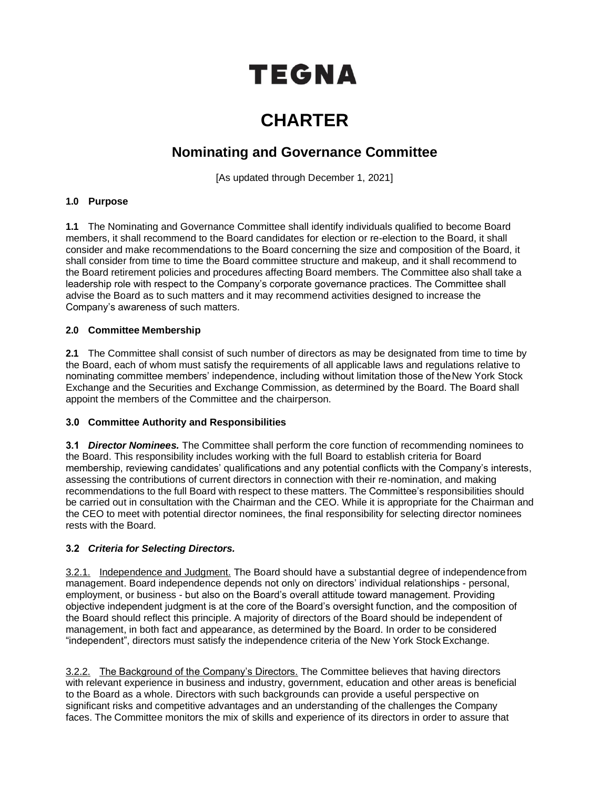# TEGNA

## **CHARTER**

### **Nominating and Governance Committee**

[As updated through December 1, 2021]

#### **1.0 Purpose**

**1.1** The Nominating and Governance Committee shall identify individuals qualified to become Board members, it shall recommend to the Board candidates for election or re-election to the Board, it shall consider and make recommendations to the Board concerning the size and composition of the Board, it shall consider from time to time the Board committee structure and makeup, and it shall recommend to the Board retirement policies and procedures affecting Board members. The Committee also shall take a leadership role with respect to the Company's corporate governance practices. The Committee shall advise the Board as to such matters and it may recommend activities designed to increase the Company's awareness of such matters.

#### **2.0 Committee Membership**

**2.1** The Committee shall consist of such number of directors as may be designated from time to time by the Board, each of whom must satisfy the requirements of all applicable laws and regulations relative to nominating committee members' independence, including without limitation those of theNew York Stock Exchange and the Securities and Exchange Commission, as determined by the Board. The Board shall appoint the members of the Committee and the chairperson.

#### **3.0 Committee Authority and Responsibilities**

**3.1** *Director Nominees.* The Committee shall perform the core function of recommending nominees to the Board. This responsibility includes working with the full Board to establish criteria for Board membership, reviewing candidates' qualifications and any potential conflicts with the Company's interests, assessing the contributions of current directors in connection with their re-nomination, and making recommendations to the full Board with respect to these matters. The Committee's responsibilities should be carried out in consultation with the Chairman and the CEO. While it is appropriate for the Chairman and the CEO to meet with potential director nominees, the final responsibility for selecting director nominees rests with the Board.

#### **3.2** *Criteria for Selecting Directors.*

3.2.1. Independence and Judgment. The Board should have a substantial degree of independencefrom management. Board independence depends not only on directors' individual relationships - personal, employment, or business - but also on the Board's overall attitude toward management. Providing objective independent judgment is at the core of the Board's oversight function, and the composition of the Board should reflect this principle. A majority of directors of the Board should be independent of management, in both fact and appearance, as determined by the Board. In order to be considered "independent", directors must satisfy the independence criteria of the New York Stock Exchange.

3.2.2. The Background of the Company's Directors. The Committee believes that having directors with relevant experience in business and industry, government, education and other areas is beneficial to the Board as a whole. Directors with such backgrounds can provide a useful perspective on significant risks and competitive advantages and an understanding of the challenges the Company faces. The Committee monitors the mix of skills and experience of its directors in order to assure that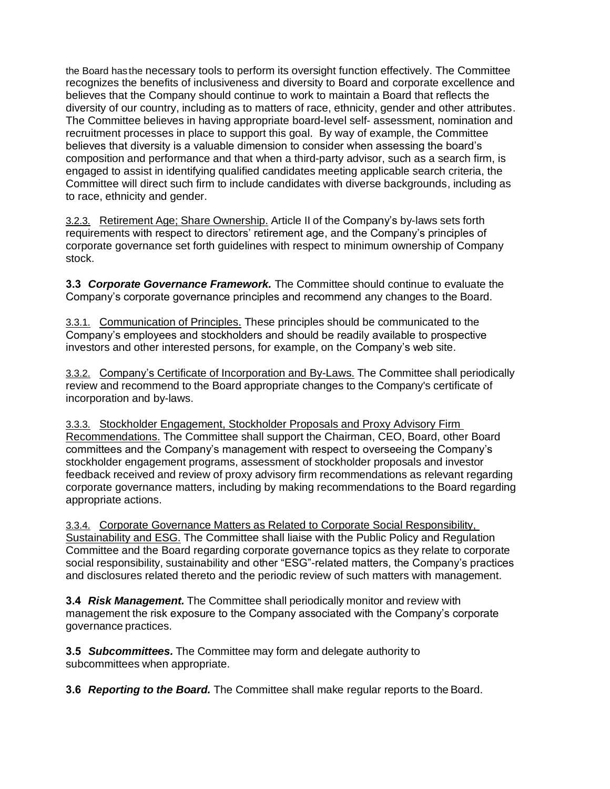the Board has the necessary tools to perform its oversight function effectively. The Committee recognizes the benefits of inclusiveness and diversity to Board and corporate excellence and believes that the Company should continue to work to maintain a Board that reflects the diversity of our country, including as to matters of race, ethnicity, gender and other attributes. The Committee believes in having appropriate board-level self- assessment, nomination and recruitment processes in place to support this goal. By way of example, the Committee believes that diversity is a valuable dimension to consider when assessing the board's composition and performance and that when a third-party advisor, such as a search firm, is engaged to assist in identifying qualified candidates meeting applicable search criteria, the Committee will direct such firm to include candidates with diverse backgrounds, including as to race, ethnicity and gender.

3.2.3. Retirement Age; Share Ownership. Article II of the Company's by-laws sets forth requirements with respect to directors' retirement age, and the Company's principles of corporate governance set forth guidelines with respect to minimum ownership of Company stock.

**3.3** *Corporate Governance Framework.* The Committee should continue to evaluate the Company's corporate governance principles and recommend any changes to the Board.

3.3.1. Communication of Principles. These principles should be communicated to the Company's employees and stockholders and should be readily available to prospective investors and other interested persons, for example, on the Company's web site.

3.3.2. Company's Certificate of Incorporation and By-Laws. The Committee shall periodically review and recommend to the Board appropriate changes to the Company's certificate of incorporation and by-laws.

3.3.3. Stockholder Engagement, Stockholder Proposals and Proxy Advisory Firm Recommendations. The Committee shall support the Chairman, CEO, Board, other Board committees and the Company's management with respect to overseeing the Company's stockholder engagement programs, assessment of stockholder proposals and investor feedback received and review of proxy advisory firm recommendations as relevant regarding corporate governance matters, including by making recommendations to the Board regarding appropriate actions.

3.3.4. Corporate Governance Matters as Related to Corporate Social Responsibility, Sustainability and ESG. The Committee shall liaise with the Public Policy and Regulation Committee and the Board regarding corporate governance topics as they relate to corporate social responsibility, sustainability and other "ESG"-related matters, the Company's practices and disclosures related thereto and the periodic review of such matters with management.

**3.4** *Risk Management.* The Committee shall periodically monitor and review with management the risk exposure to the Company associated with the Company's corporate governance practices.

**3.5** *Subcommittees.* The Committee may form and delegate authority to subcommittees when appropriate.

**3.6** *Reporting to the Board.* The Committee shall make regular reports to the Board.